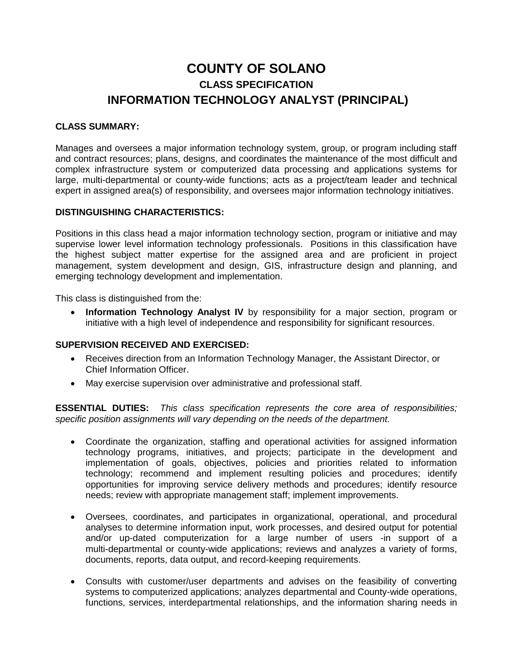# **COUNTY OF SOLANO CLASS SPECIFICATION INFORMATION TECHNOLOGY ANALYST (PRINCIPAL)**

#### **CLASS SUMMARY:**

Manages and oversees a major information technology system, group, or program including staff and contract resources; plans, designs, and coordinates the maintenance of the most difficult and complex infrastructure system or computerized data processing and applications systems for large, multi-departmental or county-wide functions; acts as a project/team leader and technical expert in assigned area(s) of responsibility, and oversees major information technology initiatives.

#### **DISTINGUISHING CHARACTERISTICS:**

Positions in this class head a major information technology section, program or initiative and may supervise lower level information technology professionals. Positions in this classification have the highest subject matter expertise for the assigned area and are proficient in project management, system development and design, GIS, infrastructure design and planning, and emerging technology development and implementation.

This class is distinguished from the:

 **Information Technology Analyst IV** by responsibility for a major section, program or initiative with a high level of independence and responsibility for significant resources.

#### **SUPERVISION RECEIVED AND EXERCISED:**

- Receives direction from an Information Technology Manager, the Assistant Director, or Chief Information Officer.
- May exercise supervision over administrative and professional staff.

**ESSENTIAL DUTIES:** *This class specification represents the core area of responsibilities; specific position assignments will vary depending on the needs of the department.*

- Coordinate the organization, staffing and operational activities for assigned information technology programs, initiatives, and projects; participate in the development and implementation of goals, objectives, policies and priorities related to information technology; recommend and implement resulting policies and procedures; identify opportunities for improving service delivery methods and procedures; identify resource needs; review with appropriate management staff; implement improvements.
- Oversees, coordinates, and participates in organizational, operational, and procedural analyses to determine information input, work processes, and desired output for potential and/or up-dated computerization for a large number of users -in support of a multi-departmental or county-wide applications; reviews and analyzes a variety of forms, documents, reports, data output, and record-keeping requirements.
- Consults with customer/user departments and advises on the feasibility of converting systems to computerized applications; analyzes departmental and County-wide operations, functions, services, interdepartmental relationships, and the information sharing needs in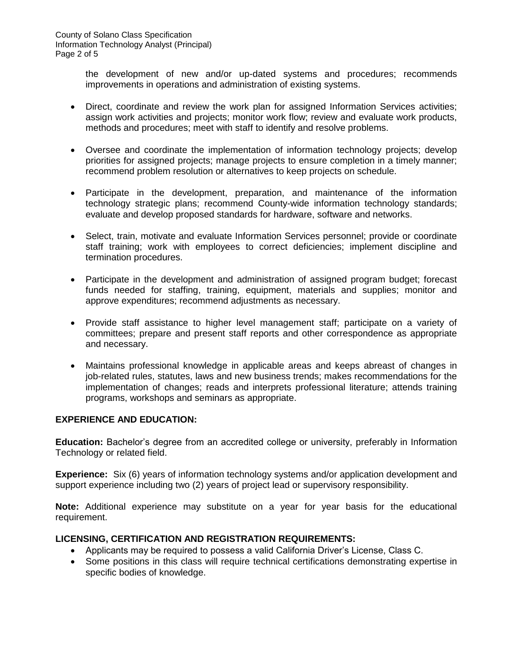the development of new and/or up-dated systems and procedures; recommends improvements in operations and administration of existing systems.

- Direct, coordinate and review the work plan for assigned Information Services activities; assign work activities and projects; monitor work flow; review and evaluate work products, methods and procedures; meet with staff to identify and resolve problems.
- Oversee and coordinate the implementation of information technology projects; develop priorities for assigned projects; manage projects to ensure completion in a timely manner; recommend problem resolution or alternatives to keep projects on schedule.
- Participate in the development, preparation, and maintenance of the information technology strategic plans; recommend County-wide information technology standards; evaluate and develop proposed standards for hardware, software and networks.
- Select, train, motivate and evaluate Information Services personnel; provide or coordinate staff training; work with employees to correct deficiencies; implement discipline and termination procedures.
- Participate in the development and administration of assigned program budget; forecast funds needed for staffing, training, equipment, materials and supplies; monitor and approve expenditures; recommend adjustments as necessary.
- Provide staff assistance to higher level management staff; participate on a variety of committees; prepare and present staff reports and other correspondence as appropriate and necessary.
- Maintains professional knowledge in applicable areas and keeps abreast of changes in job-related rules, statutes, laws and new business trends; makes recommendations for the implementation of changes; reads and interprets professional literature; attends training programs, workshops and seminars as appropriate.

### **EXPERIENCE AND EDUCATION:**

**Education:** Bachelor's degree from an accredited college or university, preferably in Information Technology or related field.

**Experience:** Six (6) years of information technology systems and/or application development and support experience including two (2) years of project lead or supervisory responsibility.

**Note:** Additional experience may substitute on a year for year basis for the educational requirement.

### **LICENSING, CERTIFICATION AND REGISTRATION REQUIREMENTS:**

- Applicants may be required to possess a valid California Driver's License, Class C.
- Some positions in this class will require technical certifications demonstrating expertise in specific bodies of knowledge.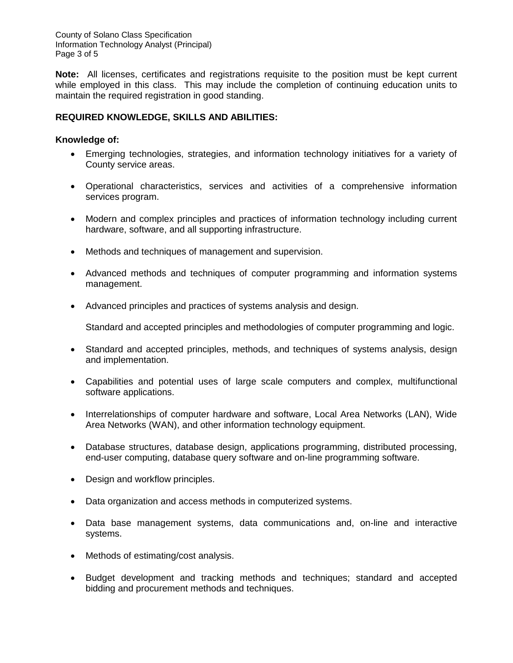County of Solano Class Specification Information Technology Analyst (Principal) Page 3 of 5

**Note:** All licenses, certificates and registrations requisite to the position must be kept current while employed in this class. This may include the completion of continuing education units to maintain the required registration in good standing.

## **REQUIRED KNOWLEDGE, SKILLS AND ABILITIES:**

#### **Knowledge of:**

- Emerging technologies, strategies, and information technology initiatives for a variety of County service areas.
- Operational characteristics, services and activities of a comprehensive information services program.
- Modern and complex principles and practices of information technology including current hardware, software, and all supporting infrastructure.
- Methods and techniques of management and supervision.
- Advanced methods and techniques of computer programming and information systems management.
- Advanced principles and practices of systems analysis and design.

Standard and accepted principles and methodologies of computer programming and logic.

- Standard and accepted principles, methods, and techniques of systems analysis, design and implementation.
- Capabilities and potential uses of large scale computers and complex, multifunctional software applications.
- Interrelationships of computer hardware and software, Local Area Networks (LAN), Wide Area Networks (WAN), and other information technology equipment.
- Database structures, database design, applications programming, distributed processing, end-user computing, database query software and on-line programming software.
- Design and workflow principles.
- Data organization and access methods in computerized systems.
- Data base management systems, data communications and, on-line and interactive systems.
- Methods of estimating/cost analysis.
- Budget development and tracking methods and techniques; standard and accepted bidding and procurement methods and techniques.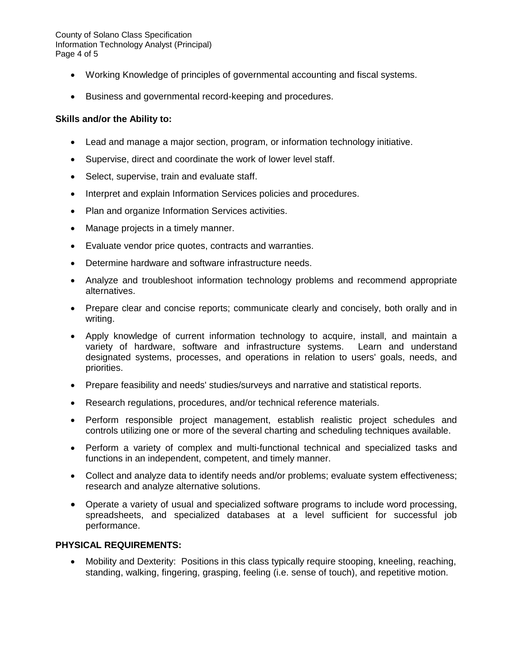County of Solano Class Specification Information Technology Analyst (Principal) Page 4 of 5

- Working Knowledge of principles of governmental accounting and fiscal systems.
- Business and governmental record-keeping and procedures.

### **Skills and/or the Ability to:**

- Lead and manage a major section, program, or information technology initiative.
- Supervise, direct and coordinate the work of lower level staff.
- Select, supervise, train and evaluate staff.
- Interpret and explain Information Services policies and procedures.
- Plan and organize Information Services activities.
- Manage projects in a timely manner.
- Evaluate vendor price quotes, contracts and warranties.
- Determine hardware and software infrastructure needs.
- Analyze and troubleshoot information technology problems and recommend appropriate alternatives.
- Prepare clear and concise reports; communicate clearly and concisely, both orally and in writing.
- Apply knowledge of current information technology to acquire, install, and maintain a variety of hardware, software and infrastructure systems. Learn and understand designated systems, processes, and operations in relation to users' goals, needs, and priorities.
- Prepare feasibility and needs' studies/surveys and narrative and statistical reports.
- Research regulations, procedures, and/or technical reference materials.
- Perform responsible project management, establish realistic project schedules and controls utilizing one or more of the several charting and scheduling techniques available.
- Perform a variety of complex and multi-functional technical and specialized tasks and functions in an independent, competent, and timely manner.
- Collect and analyze data to identify needs and/or problems; evaluate system effectiveness; research and analyze alternative solutions.
- Operate a variety of usual and specialized software programs to include word processing, spreadsheets, and specialized databases at a level sufficient for successful job performance.

#### **PHYSICAL REQUIREMENTS:**

 Mobility and Dexterity: Positions in this class typically require stooping, kneeling, reaching, standing, walking, fingering, grasping, feeling (i.e. sense of touch), and repetitive motion.